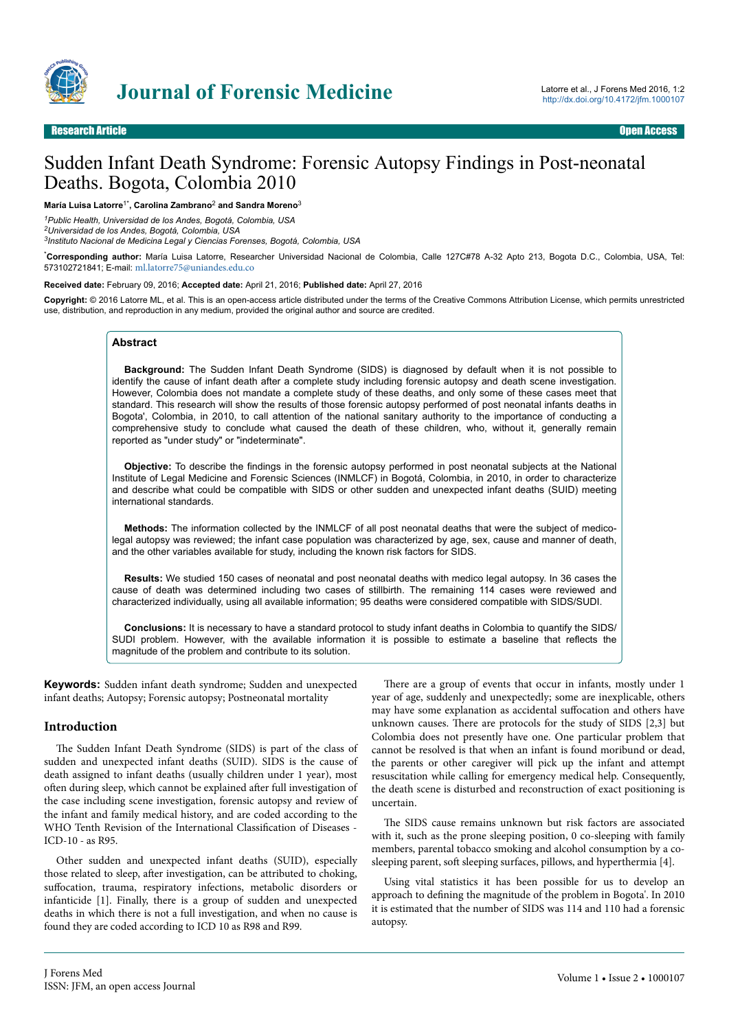

# Sudden Infant Death Syndrome: Forensic Autopsy Findings in Post-neonatal Deaths. Bogota, Colombia 2010

#### **María Luisa Latorre**1\***, Carolina Zambrano**<sup>2</sup>  **and Sandra Moreno**<sup>3</sup>

*<sup>1</sup>Public Health, Universidad de los Andes, Bogotá, Colombia, USA*

*<sup>2</sup>Universidad de los Andes, Bogotá, Colombia, USA*

*3 Instituto Nacional de Medicina Legal y Ciencias Forenses, Bogotá, Colombia, USA*

\***Corresponding author:** María Luisa Latorre, Researcher Universidad Nacional de Colombia, Calle 127C#78 A-32 Apto 213, Bogota D.C., Colombia, USA, Tel: 573102721841; E-mail: [ml.latorre75@uniandes.edu.co](mailto:ml.latorre75@uniandes.edu.co)

#### **Received date:** February 09, 2016; **Accepted date:** April 21, 2016; **Published date:** April 27, 2016

**Copyright:** © 2016 Latorre ML, et al. This is an open-access article distributed under the terms of the Creative Commons Attribution License, which permits unrestricted use, distribution, and reproduction in any medium, provided the original author and source are credited.

#### **Abstract**

**Background:** The Sudden Infant Death Syndrome (SIDS) is diagnosed by default when it is not possible to identify the cause of infant death after a complete study including forensic autopsy and death scene investigation. However, Colombia does not mandate a complete study of these deaths, and only some of these cases meet that standard. This research will show the results of those forensic autopsy performed of post neonatal infants deaths in Bogota', Colombia, in 2010, to call attention of the national sanitary authority to the importance of conducting a comprehensive study to conclude what caused the death of these children, who, without it, generally remain reported as "under study" or "indeterminate".

**Objective:** To describe the findings in the forensic autopsy performed in post neonatal subjects at the National Institute of Legal Medicine and Forensic Sciences (INMLCF) in Bogotá, Colombia, in 2010, in order to characterize and describe what could be compatible with SIDS or other sudden and unexpected infant deaths (SUID) meeting international standards.

**Methods:** The information collected by the INMLCF of all post neonatal deaths that were the subject of medicolegal autopsy was reviewed; the infant case population was characterized by age, sex, cause and manner of death, and the other variables available for study, including the known risk factors for SIDS.

**Results:** We studied 150 cases of neonatal and post neonatal deaths with medico legal autopsy. In 36 cases the cause of death was determined including two cases of stillbirth. The remaining 114 cases were reviewed and characterized individually, using all available information; 95 deaths were considered compatible with SIDS/SUDI.

**Conclusions:** It is necessary to have a standard protocol to study infant deaths in Colombia to quantify the SIDS/ SUDI problem. However, with the available information it is possible to estimate a baseline that reflects the magnitude of the problem and contribute to its solution.

**Keywords:** Sudden infant death syndrome; Sudden and unexpected infant deaths; Autopsy; Forensic autopsy; Postneonatal mortality

#### **Introduction**

The Sudden Infant Death Syndrome (SIDS) is part of the class of sudden and unexpected infant deaths (SUID). SIDS is the cause of death assigned to infant deaths (usually children under 1 year), most often during sleep, which cannot be explained after full investigation of the case including scene investigation, forensic autopsy and review of the infant and family medical history, and are coded according to the WHO Tenth Revision of the International Classification of Diseases - ICD-10 - as R95.

Other sudden and unexpected infant deaths (SUID), especially those related to sleep, after investigation, can be attributed to choking, suffocation, trauma, respiratory infections, metabolic disorders or infanticide [1]. Finally, there is a group of sudden and unexpected deaths in which there is not a full investigation, and when no cause is found they are coded according to ICD 10 as R98 and R99.

There are a group of events that occur in infants, mostly under 1 year of age, suddenly and unexpectedly; some are inexplicable, others may have some explanation as accidental suffocation and others have unknown causes. Нere are protocols for the study of SIDS [2,3] but Colombia does not presently have one. One particular problem that cannot be resolved is that when an infant is found moribund or dead, the parents or other caregiver will pick up the infant and attempt resuscitation while calling for emergency medical help. Consequently, the death scene is disturbed and reconstruction of exact positioning is uncertain.

The SIDS cause remains unknown but risk factors are associated with it, such as the prone sleeping position, 0 co-sleeping with family members, parental tobacco smoking and alcohol consumption by a cosleeping parent, soft sleeping surfaces, pillows, and hyperthermia [4].

Using vital statistics it has been possible for us to develop an approach to defining the magnitude of the problem in Bogota'. In 2010 it is estimated that the number of SIDS was 114 and 110 had a forensic autopsy.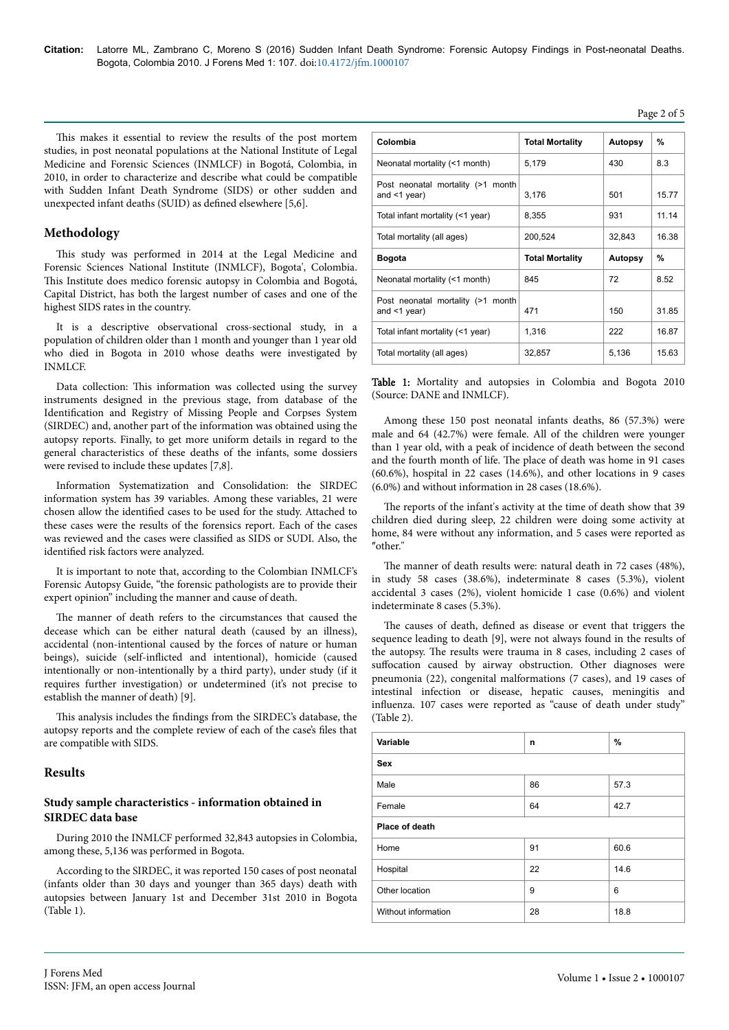Page 2 of 5

This makes it essential to review the results of the post mortem studies, in post neonatal populations at the National Institute of Legal Medicine and Forensic Sciences (INMLCF) in Bogotá, Colombia, in 2010, in order to characterize and describe what could be compatible with Sudden Infant Death Syndrome (SIDS) or other sudden and unexpected infant deaths (SUID) as defined elsewhere [5,6].

# **Methodology**

This study was performed in 2014 at the Legal Medicine and Forensic Sciences National Institute (INMLCF), Bogota', Colombia. This Institute does medico forensic autopsy in Colombia and Bogotá, Capital District, has both the largest number of cases and one of the highest SIDS rates in the country.

It is a descriptive observational cross-sectional study, in a population of children older than 1 month and younger than 1 year old who died in Bogota in 2010 whose deaths were investigated by INMLCF.

Data collection: Нis information was collected using the survey instruments designed in the previous stage, from database of the Identification and Registry of Missing People and Corpses System (SIRDEC) and, another part of the information was obtained using the autopsy reports. Finally, to get more uniform details in regard to the general characteristics of these deaths of the infants, some dossiers were revised to include these updates [7,8].

Information Systematization and Consolidation: the SIRDEC information system has 39 variables. Among these variables, 21 were chosen allow the identified cases to be used for the study. Attached to these cases were the results of the forensics report. Each of the cases was reviewed and the cases were classified as SIDS or SUDI. Also, the identified risk factors were analyzed.

It is important to note that, according to the Colombian INMLCF's Forensic Autopsy Guide, "the forensic pathologists are to provide their expert opinion" including the manner and cause of death.

The manner of death refers to the circumstances that caused the decease which can be either natural death (caused by an illness), accidental (non-intentional caused by the forces of nature or human beings), suicide (self-inflicted and intentional), homicide (caused intentionally or non-intentionally by a third party), under study (if it requires further investigation) or undetermined (it's not precise to establish the manner of death) [9].

This analysis includes the findings from the SIRDEC's database, the autopsy reports and the complete review of each of the case's files that are compatible with SIDS.

#### **Results**

### **Study sample characteristics - information obtained in SIRDEC data base**

During 2010 the INMLCF performed 32,843 autopsies in Colombia, among these, 5,136 was performed in Bogota.

According to the SIRDEC, it was reported 150 cases of post neonatal (infants older than 30 days and younger than 365 days) death with autopsies between January 1st and December 31st 2010 in Bogota (Table 1).

| Colombia                                                | <b>Total Mortality</b> | Autopsy        | %     |
|---------------------------------------------------------|------------------------|----------------|-------|
| Neonatal mortality (<1 month)                           | 5,179                  | 430            | 8.3   |
| Post neonatal mortality (>1 month<br>and $\leq$ 1 year) | 3,176                  | 501            | 15.77 |
| Total infant mortality (<1 year)                        | 8.355                  | 931            | 11.14 |
| Total mortality (all ages)                              | 200,524                | 32,843         | 16.38 |
| <b>Bogota</b>                                           | <b>Total Mortality</b> | <b>Autopsy</b> | %     |
| Neonatal mortality (<1 month)                           | 845                    | 72             | 8.52  |
| Post neonatal mortality (>1 month<br>and $\leq$ 1 year) | 471                    | 150            | 31.85 |
| Total infant mortality (<1 year)                        | 1,316                  | 222            | 16.87 |
| Total mortality (all ages)                              | 32,857                 | 5,136          | 15.63 |

Table 1: Mortality and autopsies in Colombia and Bogota 2010 (Source: DANE and INMLCF).

Among these 150 post neonatal infants deaths, 86 (57.3%) were male and 64 (42.7%) were female. All of the children were younger than 1 year old, with a peak of incidence of death between the second and the fourth month of life. Нe place of death was home in 91 cases (60.6%), hospital in 22 cases (14.6%), and other locations in 9 cases (6.0%) and without information in 28 cases (18.6%).

The reports of the infant's activity at the time of death show that 39 children died during sleep, 22 children were doing some activity at home, 84 were without any information, and 5 cases were reported as "other."

The manner of death results were: natural death in 72 cases (48%), in study 58 cases (38.6%), indeterminate 8 cases (5.3%), violent accidental 3 cases (2%), violent homicide 1 case (0.6%) and violent indeterminate 8 cases (5.3%).

The causes of death, defined as disease or event that triggers the sequence leading to death [9], were not always found in the results of the autopsy. Нe results were trauma in 8 cases, including 2 cases of suffocation caused by airway obstruction. Other diagnoses were pneumonia (22), congenital malformations (7 cases), and 19 cases of intestinal infection or disease, hepatic causes, meningitis and influenza. 107 cases were reported as "cause of death under study" (Table 2).

| Variable            | n  | %    |  |  |  |
|---------------------|----|------|--|--|--|
| <b>Sex</b>          |    |      |  |  |  |
| Male                | 86 | 57.3 |  |  |  |
| Female              | 64 | 42.7 |  |  |  |
| Place of death      |    |      |  |  |  |
| Home                | 91 | 60.6 |  |  |  |
| Hospital            | 22 | 14.6 |  |  |  |
| Other location      | 9  | 6    |  |  |  |
| Without information | 28 | 18.8 |  |  |  |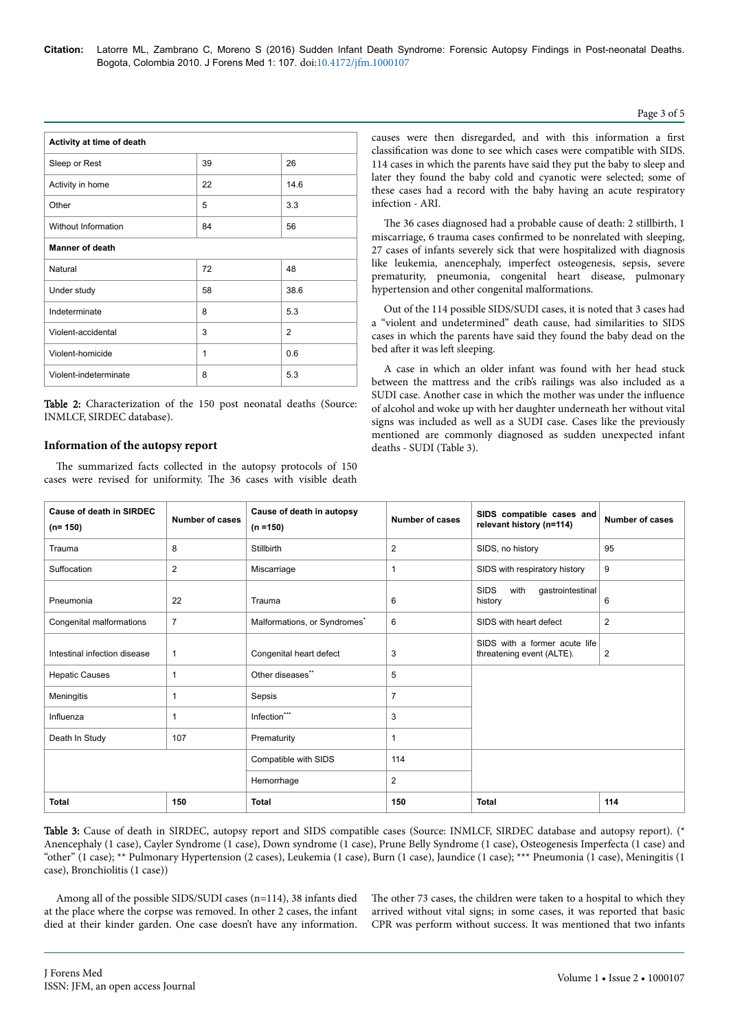| Activity at time of death |              |                |  |  |
|---------------------------|--------------|----------------|--|--|
| Sleep or Rest             | 39           | 26             |  |  |
| Activity in home          | 22           | 14.6           |  |  |
| Other                     | 5            | 3.3            |  |  |
| Without Information       | 84           | 56             |  |  |
| <b>Manner of death</b>    |              |                |  |  |
| Natural                   | 72           | 48             |  |  |
| Under study               | 58           | 38.6           |  |  |
| Indeterminate             | 8            | 5.3            |  |  |
| Violent-accidental        | 3            | $\overline{2}$ |  |  |
| Violent-homicide          | $\mathbf{1}$ | 0.6            |  |  |
| Violent-indeterminate     | 8            | 5.3            |  |  |

Table 2: Characterization of the 150 post neonatal deaths (Source: INMLCF, SIRDEC database).

### **Information of the autopsy report**

The summarized facts collected in the autopsy protocols of 150 cases were revised for uniformity. Нe 36 cases with visible death

causes were then disregarded, and with this information a first classification was done to see which cases were compatible with SIDS. 114 cases in which the parents have said they put the baby to sleep and later they found the baby cold and cyanotic were selected; some of these cases had a record with the baby having an acute respiratory infection - ARI.

The 36 cases diagnosed had a probable cause of death: 2 stillbirth, 1 miscarriage, 6 trauma cases confirmed to be nonrelated with sleeping, 27 cases of infants severely sick that were hospitalized with diagnosis like leukemia, anencephaly, imperfect osteogenesis, sepsis, severe prematurity, pneumonia, congenital heart disease, pulmonary hypertension and other congenital malformations.

Out of the 114 possible SIDS/SUDI cases, it is noted that 3 cases had a "violent and undetermined" death cause, had similarities to SIDS cases in which the parents have said they found the baby dead on the bed after it was left sleeping.

A case in which an older infant was found with her head stuck between the mattress and the crib's railings was also included as a SUDI case. Another case in which the mother was under the influence of alcohol and woke up with her daughter underneath her without vital signs was included as well as a SUDI case. Cases like the previously mentioned are commonly diagnosed as sudden unexpected infant deaths - SUDI (Table 3).

| <b>Cause of death in SIRDEC</b><br>$(n=150)$ | Number of cases | Cause of death in autopsy<br>$(n = 150)$ | Number of cases | SIDS compatible cases and<br>relevant history (n=114)      | <b>Number of cases</b> |
|----------------------------------------------|-----------------|------------------------------------------|-----------------|------------------------------------------------------------|------------------------|
| Trauma                                       | 8               | Stillbirth                               | 2               | SIDS, no history                                           | 95                     |
| Suffocation                                  | 2               | Miscarriage                              | 1               | SIDS with respiratory history                              | 9                      |
| Pneumonia                                    | 22              | Trauma                                   | 6               | <b>SIDS</b><br>with<br>gastrointestinal<br>history         | 6                      |
| Congenital malformations                     | $\overline{7}$  | Malformations, or Syndromes <sup>*</sup> | 6               | SIDS with heart defect                                     | $\overline{2}$         |
| Intestinal infection disease                 | $\mathbf{1}$    | Congenital heart defect                  | 3               | SIDS with a former acute life<br>threatening event (ALTE). | $\overline{2}$         |
| <b>Hepatic Causes</b>                        | $\mathbf 1$     | Other diseases**                         | 5               |                                                            |                        |
| Meningitis                                   | $\mathbf 1$     | Sepsis                                   | $\overline{7}$  |                                                            |                        |
| Influenza                                    | $\mathbf 1$     | Infection***                             | 3               |                                                            |                        |
| Death In Study                               | 107             | Prematurity                              | 1               |                                                            |                        |
|                                              |                 | Compatible with SIDS                     | 114             |                                                            |                        |
|                                              |                 | Hemorrhage                               | $\overline{2}$  |                                                            |                        |
| <b>Total</b>                                 | 150             | <b>Total</b>                             | 150             | <b>Total</b>                                               | 114                    |

Table 3: Cause of death in SIRDEC, autopsy report and SIDS compatible cases (Source: INMLCF, SIRDEC database and autopsy report). (\* Anencephaly (1 case), Cayler Syndrome (1 case), Down syndrome (1 case), Prune Belly Syndrome (1 case), Osteogenesis Imperfecta (1 case) and "other" (1 case); \*\* Pulmonary Hypertension (2 cases), Leukemia (1 case), Burn (1 case), Jaundice (1 case); \*\*\* Pneumonia (1 case), Meningitis (1 case), Bronchiolitis (1 case))

Among all of the possible SIDS/SUDI cases (n=114), 38 infants died at the place where the corpse was removed. In other 2 cases, the infant died at their kinder garden. One case doesn't have any information. The other 73 cases, the children were taken to a hospital to which they arrived without vital signs; in some cases, it was reported that basic CPR was perform without success. It was mentioned that two infants

#### Page 3 of 5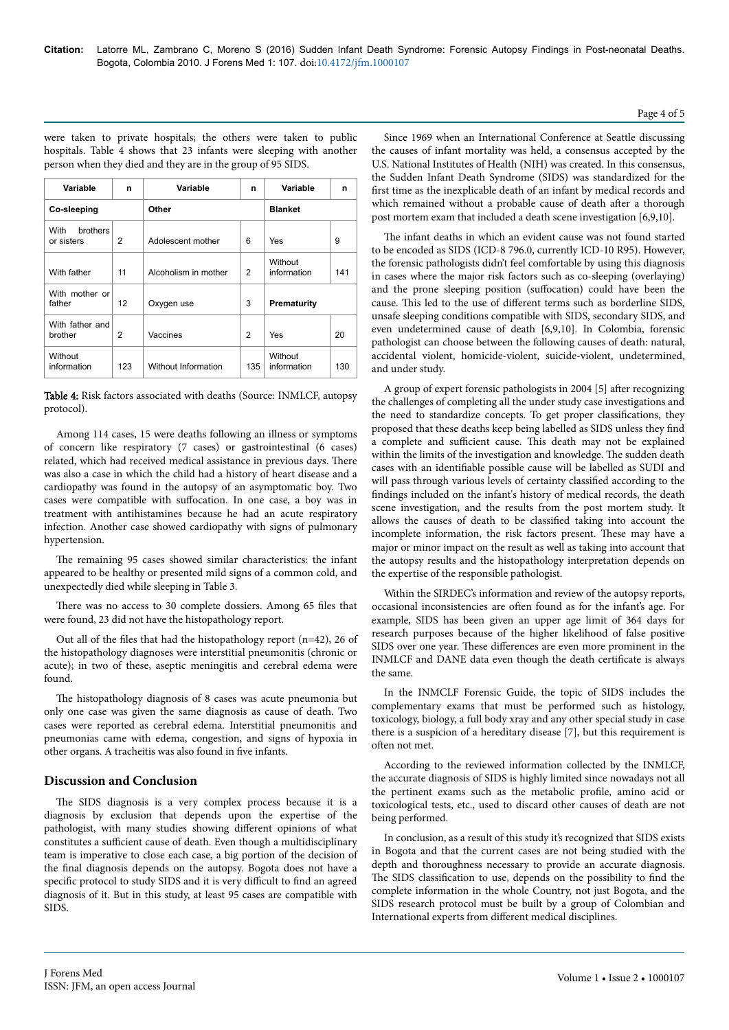**Variable n Variable n Variable n Co-sleeping Other Blanket** With brothers or sisters 2 Adolescent mother 6 Yes 9 With father  $\begin{vmatrix} 11 & 1 \end{vmatrix}$  Alcoholism in mother 2 Without information  $141$ With mother or father | 12 | Oxygen use | 3 | **Prematurity** With father and brother 2 Vaccines 2 Yes 20 **Without** information 123 Without Information 135 Without information 130

were taken to private hospitals; the others were taken to public hospitals. Table 4 shows that 23 infants were sleeping with another

person when they died and they are in the group of 95 SIDS.

Table 4: Risk factors associated with deaths (Source: INMLCF, autopsy protocol).

Among 114 cases, 15 were deaths following an illness or symptoms of concern like respiratory (7 cases) or gastrointestinal (6 cases) related, which had received medical assistance in previous days. Нere was also a case in which the child had a history of heart disease and a cardiopathy was found in the autopsy of an asymptomatic boy. Two cases were compatible with suffocation. In one case, a boy was in treatment with antihistamines because he had an acute respiratory infection. Another case showed cardiopathy with signs of pulmonary hypertension.

The remaining 95 cases showed similar characteristics: the infant appeared to be healthy or presented mild signs of a common cold, and unexpectedly died while sleeping in Table 3.

There was no access to 30 complete dossiers. Among 65 files that were found, 23 did not have the histopathology report.

Out all of the files that had the histopathology report (n=42), 26 of the histopathology diagnoses were interstitial pneumonitis (chronic or acute); in two of these, aseptic meningitis and cerebral edema were found.

The histopathology diagnosis of 8 cases was acute pneumonia but only one case was given the same diagnosis as cause of death. Two cases were reported as cerebral edema. Interstitial pneumonitis and pneumonias came with edema, congestion, and signs of hypoxia in other organs. A tracheitis was also found in five infants.

# **Discussion and Conclusion**

The SIDS diagnosis is a very complex process because it is a diagnosis by exclusion that depends upon the expertise of the pathologist, with many studies showing different opinions of what constitutes a sufficient cause of death. Even though a multidisciplinary team is imperative to close each case, a big portion of the decision of the final diagnosis depends on the autopsy. Bogota does not have a specific protocol to study SIDS and it is very difficult to find an agreed diagnosis of it. But in this study, at least 95 cases are compatible with SIDS.

Since 1969 when an International Conference at Seattle discussing the causes of infant mortality was held, a consensus accepted by the U.S. National Institutes of Health (NIH) was created. In this consensus, the Sudden Infant Death Syndrome (SIDS) was standardized for the first time as the inexplicable death of an infant by medical records and which remained without a probable cause of death after a thorough post mortem exam that included a death scene investigation [6,9,10].

The infant deaths in which an evident cause was not found started to be encoded as SIDS (ICD-8 796.0, currently ICD-10 R95). However, the forensic pathologists didn't feel comfortable by using this diagnosis in cases where the major risk factors such as co-sleeping (overlaying) and the prone sleeping position (suffocation) could have been the cause. This led to the use of different terms such as borderline SIDS, unsafe sleeping conditions compatible with SIDS, secondary SIDS, and even undetermined cause of death [6,9,10]. In Colombia, forensic pathologist can choose between the following causes of death: natural, accidental violent, homicide-violent, suicide-violent, undetermined, and under study.

A group of expert forensic pathologists in 2004 [5] after recognizing the challenges of completing all the under study case investigations and the need to standardize concepts. To get proper classifications, they proposed that these deaths keep being labelled as SIDS unless they find a complete and sufficient cause. This death may not be explained within the limits of the investigation and knowledge. Нe sudden death cases with an identifiable possible cause will be labelled as SUDI and will pass through various levels of certainty classified according to the findings included on the infant's history of medical records, the death scene investigation, and the results from the post mortem study. It allows the causes of death to be classified taking into account the incomplete information, the risk factors present. Нese may have a major or minor impact on the result as well as taking into account that the autopsy results and the histopathology interpretation depends on the expertise of the responsible pathologist.

Within the SIRDEC's information and review of the autopsy reports, occasional inconsistencies are often found as for the infant's age. For example, SIDS has been given an upper age limit of 364 days for research purposes because of the higher likelihood of false positive SIDS over one year. These differences are even more prominent in the INMLCF and DANE data even though the death certificate is always the same.

In the INMCLF Forensic Guide, the topic of SIDS includes the complementary exams that must be performed such as histology, toxicology, biology, a full body xray and any other special study in case there is a suspicion of a hereditary disease [7], but this requirement is often not met.

According to the reviewed information collected by the INMLCF, the accurate diagnosis of SIDS is highly limited since nowadays not all the pertinent exams such as the metabolic profile, amino acid or toxicological tests, etc., used to discard other causes of death are not being performed.

In conclusion, as a result of this study it's recognized that SIDS exists in Bogota and that the current cases are not being studied with the depth and thoroughness necessary to provide an accurate diagnosis. The SIDS classification to use, depends on the possibility to find the complete information in the whole Country, not just Bogota, and the SIDS research protocol must be built by a group of Colombian and International experts from different medical disciplines.

### Page 4 of 5